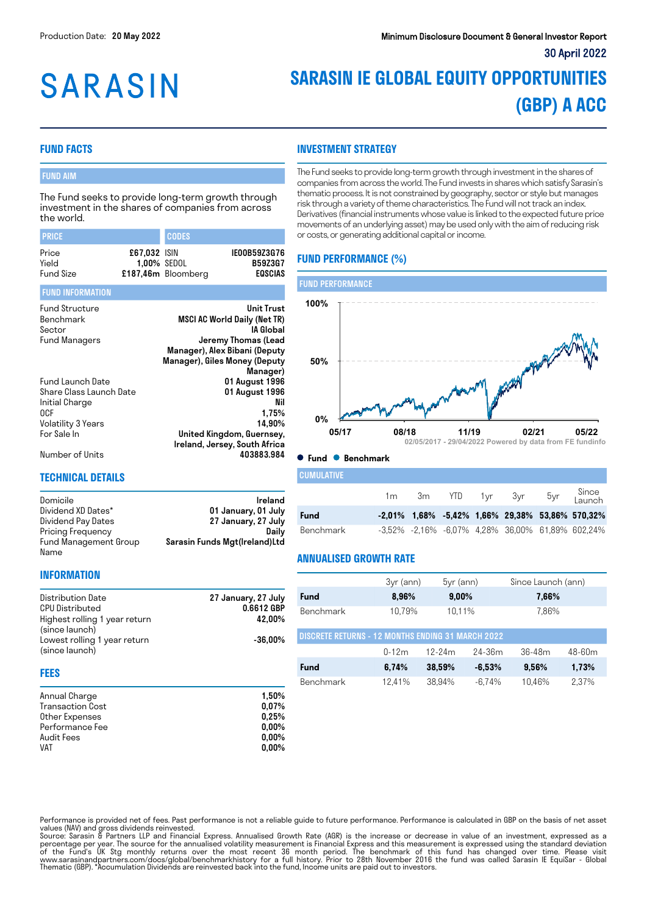# **SARASIN**

## **SARASIN IE GLOBAL EQUITY OPPORTUNITIES (GBP) A ACC**

#### **FUND FACTS**

#### FUND AIM

The Fund seeks to provide long-term growth through investment in the shares of companies from across the world.

| <b>PRICE</b>                                                                                              |                             | <b>CODES</b>       |                                                                                                                                                                     |
|-----------------------------------------------------------------------------------------------------------|-----------------------------|--------------------|---------------------------------------------------------------------------------------------------------------------------------------------------------------------|
| Price<br>Yield<br><b>Fund Size</b>                                                                        | £67,032 ISIN<br>1,00% SEDOL | £187,46m Bloomberg | IE00B59Z3G76<br><b>B59Z3G7</b><br>EQSCIAS                                                                                                                           |
| <b>FUND INFORMATION</b>                                                                                   |                             |                    |                                                                                                                                                                     |
| <b>Fund Structure</b><br>Benchmark<br>Sector<br><b>Fund Managers</b>                                      |                             |                    | <b>Unit Trust</b><br>MSCI AC World Daily (Net TR)<br>IA Global<br>Jeremy Thomas (Lead<br>Manager), Alex Bibani (Deputy<br>Manager), Giles Money (Deputy<br>Manager) |
| Fund Launch Date<br>Share Class Launch Date<br>Initial Charge<br>0CF<br>Volatility 3 Years<br>For Sale In |                             |                    | 01 August 1996<br>01 August 1996<br>Nil<br>1,75%<br>14,90%<br>United Kingdom, Guernsey,<br>Ireland, Jersey, South Africa                                            |

#### **INVESTMENT STRATEGY**

The Fund seeks to provide long-term growth through investment in the shares of companies from across the world. The Fund invests in shares which satisfy Sarasin's thematic process. It is not constrained by geography, sector or style but manages risk through a variety of theme characteristics. The Fund will not track an index. Derivatives (financial instruments whose value is linked to the expected future price movements of an underlying asset) may be used only with the aim of reducing risk or costs, or generating additional capital or income.

#### **FUND PERFORMANCE (%)**



#### Number of Units 403883.984

#### **TECHNICAL DETAILS**

| Domicile              | Ireland                       |
|-----------------------|-------------------------------|
| Dividend XD Dates*    | 01 January, 01 July           |
| Dividend Pay Dates    | 27 January, 27 July           |
| Pricing Frequency     | Dailv                         |
| Fund Management Group | Sarasin Funds Mgt(Ireland)Ltd |
| Name                  |                               |

#### **INFORMATION**

| Distribution Date             | 27 January, 27 July |
|-------------------------------|---------------------|
| <b>CPU Distributed</b>        | 0.6612 GBP          |
| Highest rolling 1 year return | 42.00%              |
| (since launch)                |                     |
| Lowest rolling 1 year return  | $-36.00\%$          |
| (since launch)                |                     |
|                               |                     |

#### **FEES**

| Annual Charge           | 1.50%    |
|-------------------------|----------|
| <b>Transaction Cost</b> | 0.07%    |
| Other Expenses          | 0,25%    |
| Performance Fee         | $0.00\%$ |
| Audit Fees              | $0.00\%$ |
| <b>VAT</b>              | $0.00\%$ |

|                               |  |  |  |  | 1m 3m YTD 1yr 3yr | 5yr | Since<br>Launch                                       |
|-------------------------------|--|--|--|--|-------------------|-----|-------------------------------------------------------|
| Fund                          |  |  |  |  |                   |     | $-2,01\%$ 1,68% $-5,42\%$ 1,66% 29,38% 53,86% 570,32% |
| Benchmark                     |  |  |  |  |                   |     | -3,52% -2,16% -6,07% 4,28% 36,00% 61,89% 602,24%      |
| <b>ANNUALISED GROWTH RATE</b> |  |  |  |  |                   |     |                                                       |

|                                                          | $3yr$ (ann) | $5yr$ (ann) |          | Since Launch (ann) |            |  |
|----------------------------------------------------------|-------------|-------------|----------|--------------------|------------|--|
| <b>Fund</b>                                              | 8,96%       | 9,00%       |          | 7,66%              |            |  |
| Benchmark                                                | 10.79%      | 10.11%      |          | 7,86%              |            |  |
| <b>DISCRETE RETURNS - 12 MONTHS ENDING 31 MARCH 2022</b> |             |             |          |                    |            |  |
|                                                          | $0 - 12m$   | 12-24m      | 24-36m   | $36 - 48m$         | $48 - 60m$ |  |
| Fund                                                     | 6,74%       | 38,59%      | $-6,53%$ | 9,56%              | 1,73%      |  |
| Benchmark                                                | 12.41%      | 38.94%      | $-6.74%$ | 10.46%             | 2.37%      |  |

Performance is provided net of fees. Past performance is not a reliable guide to future performance. Performance is calculated in GBP on the basis of net asset

**CUMULATIVE** 

values (NAV) and gross dividends reinvested.<br>Source: Sarasin & Partners LLP and Financial Express. Annualised Growth Rate (AGR) is the increase or decrease in value of an investment, expressed as a<br>percentage per year. The